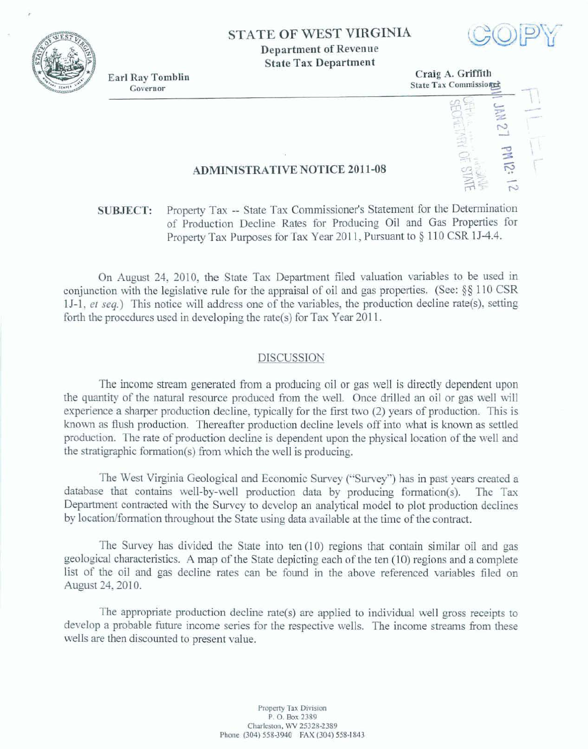

**Department of Revenue State Tax Department** 



**Earl Ray Tomblin** Governor



## **ADMINISTRATIVE NOTICE 2011-08**

## Property Tax -- State Tax Commissioner's Statement for the Determination **SUBJECT:** of Production Decline Rates for Producing Oil and Gas Properties for Property Tax Purposes for Tax Year 2011, Pursuant to § 110 CSR 1J-4.4.

On August 24, 2010, the State Tax Department filed valuation variables to be used in conjunction with the legislative rule for the appraisal of oil and gas properties. (See:  $\S$ § 110 CSR 1J-1, et seq.) This notice will address one of the variables, the production decline rate(s), setting forth the procedures used in developing the rate(s) for Tax Year  $2011$ .

## **DISCUSSION**

The income stream generated from a producing oil or gas well is directly dependent upon the quantity of the natural resource produced from the well. Once drilled an oil or gas well will experience a sharper production decline, typically for the first two (2) years of production. This is known as flush production. Thereafter production decline levels off into what is known as settled production. The rate of production decline is dependent upon the physical location of the well and the stratigraphic formation(s) from which the well is producing.

The West Virginia Geological and Economic Survey ("Survey") has in past years created a database that contains well-by-well production data by producing formation(s). The Tax Department contracted with the Survey to develop an analytical model to plot production declines by location/formation throughout the State using data available at the time of the contract.

The Survey has divided the State into ten (10) regions that contain similar oil and gas geological characteristics. A map of the State depicting each of the ten (10) regions and a complete list of the oil and gas decline rates can be found in the above referenced variables filed on August 24, 2010.

The appropriate production decline rate(s) are applied to individual well gross receipts to develop a probable future income series for the respective wells. The income streams from these wells are then discounted to present value.

> Property Tax Division P.O. Box 2389 Charleston, WV 25328-2389 Phone (304) 558-3940 FAX (304) 558-1843